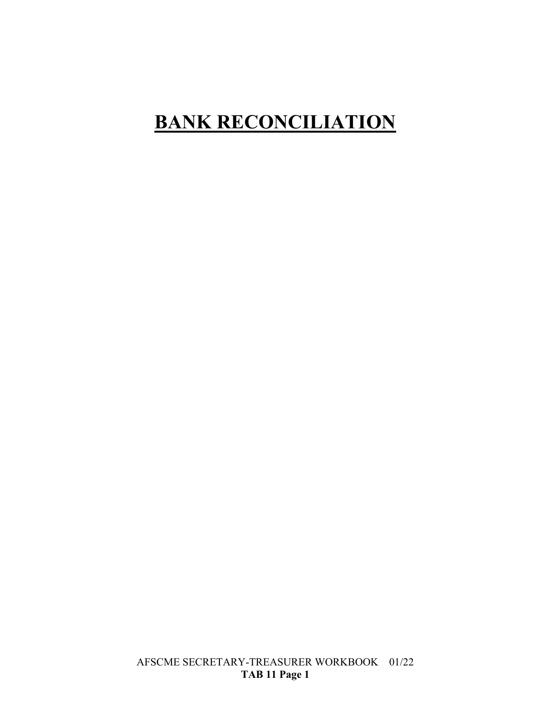## **BANK RECONCILIATION**

AFSCME SECRETARY-TREASURER WORKBOOK 01/22 **TAB 11 Page 1**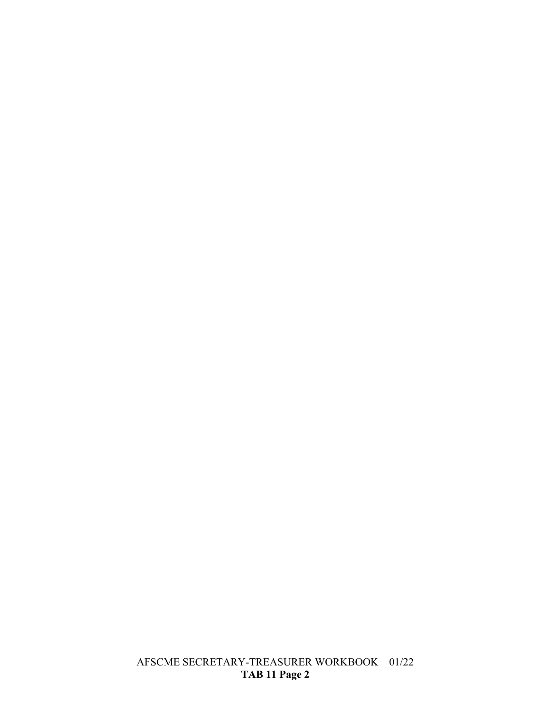AFSCME SECRETARY-TREASURER WORKBOOK 01/22 **TAB 11 Page 2**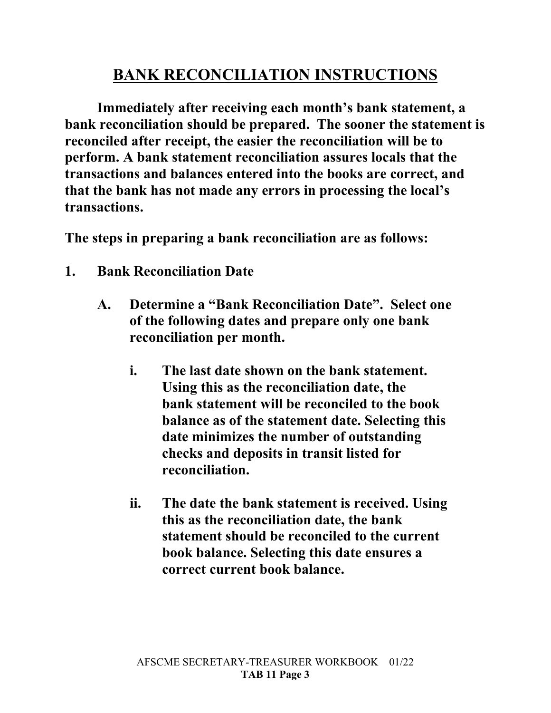## **BANK RECONCILIATION INSTRUCTIONS**

**Immediately after receiving each month's bank statement, a bank reconciliation should be prepared. The sooner the statement is reconciled after receipt, the easier the reconciliation will be to perform. A bank statement reconciliation assures locals that the transactions and balances entered into the books are correct, and that the bank has not made any errors in processing the local's transactions.**

**The steps in preparing a bank reconciliation are as follows:**

- **1. Bank Reconciliation Date**
	- **A. Determine a "Bank Reconciliation Date". Select one of the following dates and prepare only one bank reconciliation per month.**
		- **i. The last date shown on the bank statement. Using this as the reconciliation date, the bank statement will be reconciled to the book balance as of the statement date. Selecting this date minimizes the number of outstanding checks and deposits in transit listed for reconciliation.**
		- **ii. The date the bank statement is received. Using this as the reconciliation date, the bank statement should be reconciled to the current book balance. Selecting this date ensures a correct current book balance.**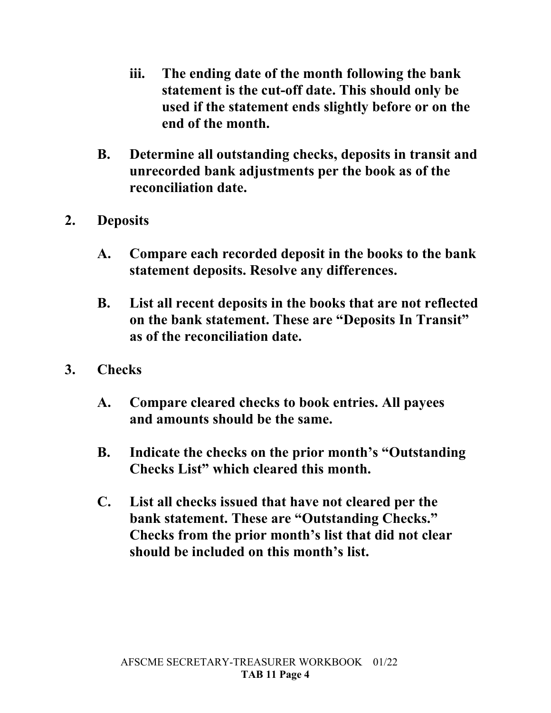- **iii. The ending date of the month following the bank statement is the cut-off date. This should only be used if the statement ends slightly before or on the end of the month.**
- **B. Determine all outstanding checks, deposits in transit and unrecorded bank adjustments per the book as of the reconciliation date.**
- **2. Deposits**
	- **A. Compare each recorded deposit in the books to the bank statement deposits. Resolve any differences.**
	- **B. List all recent deposits in the books that are not reflected on the bank statement. These are "Deposits In Transit" as of the reconciliation date.**
- **3. Checks**
	- **A. Compare cleared checks to book entries. All payees and amounts should be the same.**
	- **B. Indicate the checks on the prior month's "Outstanding Checks List" which cleared this month.**
	- **C. List all checks issued that have not cleared per the bank statement. These are "Outstanding Checks." Checks from the prior month's list that did not clear should be included on this month's list.**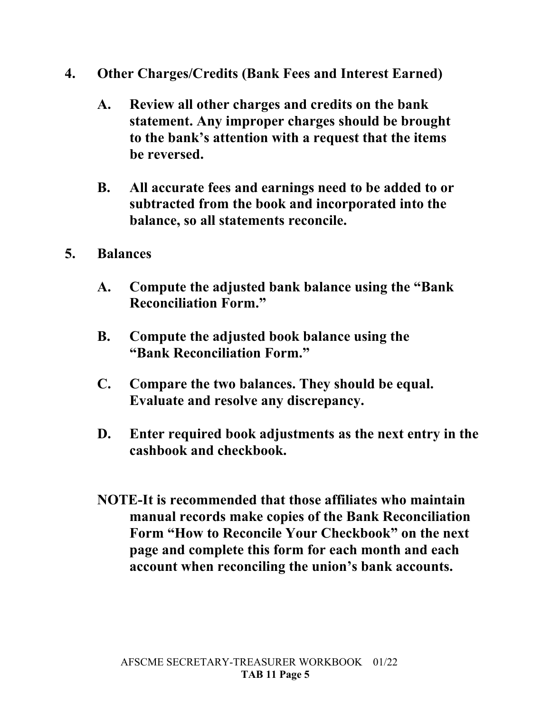- **4. Other Charges/Credits (Bank Fees and Interest Earned)**
	- **A. Review all other charges and credits on the bank statement. Any improper charges should be brought to the bank's attention with a request that the items be reversed.**
	- **B. All accurate fees and earnings need to be added to or subtracted from the book and incorporated into the balance, so all statements reconcile.**
- **5. Balances**
	- **A. Compute the adjusted bank balance using the "Bank Reconciliation Form."**
	- **B. Compute the adjusted book balance using the "Bank Reconciliation Form."**
	- **C. Compare the two balances. They should be equal. Evaluate and resolve any discrepancy.**
	- **D. Enter required book adjustments as the next entry in the cashbook and checkbook.**
	- **NOTE-It is recommended that those affiliates who maintain manual records make copies of the Bank Reconciliation Form "How to Reconcile Your Checkbook" on the next page and complete this form for each month and each account when reconciling the union's bank accounts.**